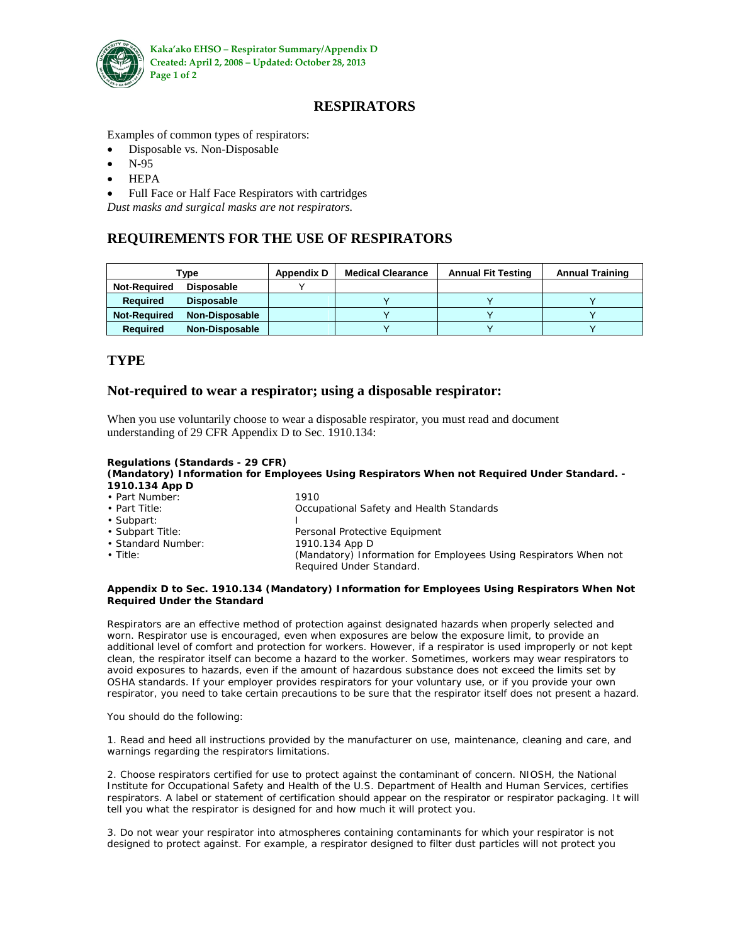

# **RESPIRATORS**

Examples of common types of respirators:

- Disposable vs. Non-Disposable
- N-95
- HEPA
- Full Face or Half Face Respirators with cartridges

*Dust masks and surgical masks are not respirators.*

## **REQUIREMENTS FOR THE USE OF RESPIRATORS**

| $\mathsf{v}$ pe     |                       | <b>Appendix D</b> | <b>Medical Clearance</b> | <b>Annual Fit Testing</b> | <b>Annual Training</b> |
|---------------------|-----------------------|-------------------|--------------------------|---------------------------|------------------------|
| <b>Not-Required</b> | Disposable            |                   |                          |                           |                        |
| <b>Required</b>     | <b>Disposable</b>     |                   |                          |                           |                        |
| <b>Not-Required</b> | <b>Non-Disposable</b> |                   |                          |                           |                        |
| <b>Required</b>     | <b>Non-Disposable</b> |                   |                          |                           |                        |

### **TYPE**

### **Not-required to wear a respirator; using a disposable respirator:**

When you use voluntarily choose to wear a disposable respirator, you must read and document understanding of 29 CFR Appendix D to Sec. 1910.134:

#### **Regulations (Standards - 29 CFR)**

#### **(Mandatory) Information for Employees Using Respirators When not Required Under Standard. - 1910.134 App D** • Part Number: 1910

| • Part Number:      | 19 I U                                                           |  |
|---------------------|------------------------------------------------------------------|--|
| $\cdot$ Part Title: | Occupational Safety and Health Standards                         |  |
| • Subpart:          |                                                                  |  |
| • Subpart Title:    | Personal Protective Equipment                                    |  |
| • Standard Number:  | 1910.134 App D                                                   |  |
| $\cdot$ Title:      | (Mandatory) Information for Employees Using Respirators When not |  |
|                     | Required Under Standard.                                         |  |

#### **Appendix D to Sec. 1910.134 (Mandatory) Information for Employees Using Respirators When Not Required Under the Standard**

Respirators are an effective method of protection against designated hazards when properly selected and worn. Respirator use is encouraged, even when exposures are below the exposure limit, to provide an additional level of comfort and protection for workers. However, if a respirator is used improperly or not kept clean, the respirator itself can become a hazard to the worker. Sometimes, workers may wear respirators to avoid exposures to hazards, even if the amount of hazardous substance does not exceed the limits set by OSHA standards. If your employer provides respirators for your voluntary use, or if you provide your own respirator, you need to take certain precautions to be sure that the respirator itself does not present a hazard.

You should do the following:

1. Read and heed all instructions provided by the manufacturer on use, maintenance, cleaning and care, and warnings regarding the respirators limitations.

2. Choose respirators certified for use to protect against the contaminant of concern. NIOSH, the National Institute for Occupational Safety and Health of the U.S. Department of Health and Human Services, certifies respirators. A label or statement of certification should appear on the respirator or respirator packaging. It will tell you what the respirator is designed for and how much it will protect you.

3. Do not wear your respirator into atmospheres containing contaminants for which your respirator is not designed to protect against. For example, a respirator designed to filter dust particles will not protect you